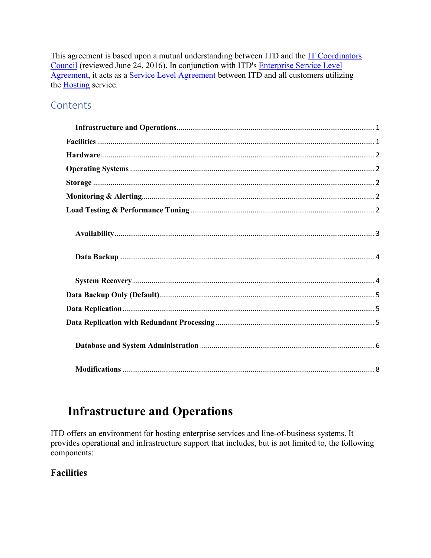This agreement is based upon a mutual understanding between ITD and the IT Coordinators Council (reviewed June 24, 2016). In conjunction with ITD's Enterprise Service Level Agreement, it acts as a Service Level Agreement between ITD and all customers utilizing the **Hosting** service.

### Contents

## <span id="page-0-0"></span>**Infrastructure and Operations**

ITD offers an environment for hosting enterprise services and line-of-business systems. It provides operational and infrastructure support that includes, but is not limited to, the following components:

#### <span id="page-0-1"></span>**Facilities**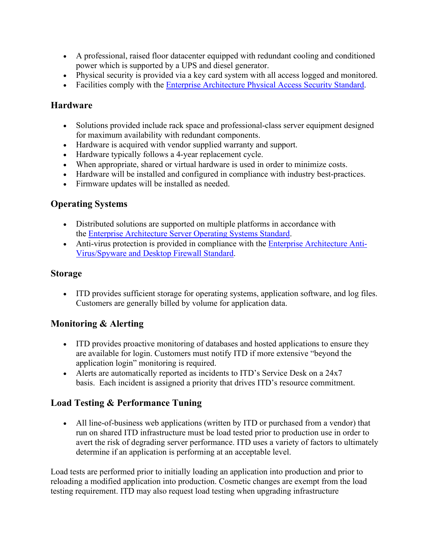- A professional, raised floor datacenter equipped with redundant cooling and conditioned power which is supported by a UPS and diesel generator.
- Physical security is provided via a key card system with all access logged and monitored.
- Facilities comply with the **[Enterprise Architecture Physical Access Security Standard.](https://www.nd.gov/itd/node/282)**

#### <span id="page-1-0"></span>**Hardware**

- Solutions provided include rack space and professional-class server equipment designed for maximum availability with redundant components.
- Hardware is acquired with vendor supplied warranty and support.
- Hardware typically follows a 4-year replacement cycle.
- When appropriate, shared or virtual hardware is used in order to minimize costs.
- Hardware will be installed and configured in compliance with industry best-practices.
- Firmware updates will be installed as needed.

### <span id="page-1-1"></span>**Operating Systems**

- Distributed solutions are supported on multiple platforms in accordance with the [Enterprise Architecture Server Operating Systems Standard.](https://www.nd.gov/itd/node/289)
- Anti-virus protection is provided in compliance with the [Enterprise Architecture Anti-](https://www.nd.gov/itd/node/103)Virus/Spyware [and Desktop Firewall Standard.](https://www.nd.gov/itd/node/103)

#### <span id="page-1-2"></span>**Storage**

• ITD provides sufficient storage for operating systems, application software, and log files. Customers are generally billed by volume for application data.

### <span id="page-1-3"></span>**Monitoring & Alerting**

- ITD provides proactive monitoring of databases and hosted applications to ensure they are available for login. Customers must notify ITD if more extensive "beyond the application login" monitoring is required.
- Alerts are automatically reported as incidents to ITD's Service Desk on a 24x7 basis. Each incident is assigned a priority that drives ITD's resource commitment.

### <span id="page-1-4"></span>**Load Testing & Performance Tuning**

• All line-of-business web applications (written by ITD or purchased from a vendor) that run on shared ITD infrastructure must be load tested prior to production use in order to avert the risk of degrading server performance. ITD uses a variety of factors to ultimately determine if an application is performing at an acceptable level.

Load tests are performed prior to initially loading an application into production and prior to reloading a modified application into production. Cosmetic changes are exempt from the load testing requirement. ITD may also request load testing when upgrading infrastructure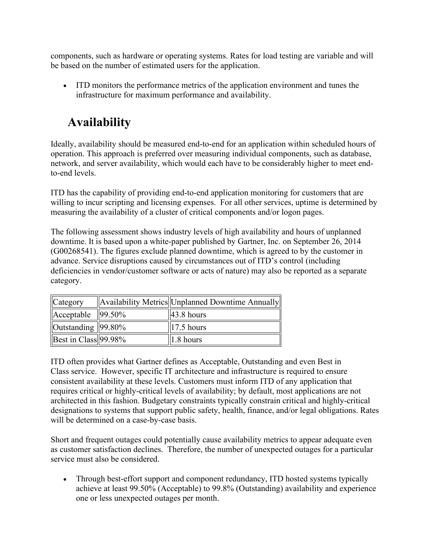components, such as hardware or operating systems. Rates for load testing are variable and will be based on the number of estimated users for the application.

• ITD monitors the performance metrics of the application environment and tunes the infrastructure for maximum performance and availability.

# <span id="page-2-0"></span>**Availability**

Ideally, availability should be measured end-to-end for an application within scheduled hours of operation. This approach is preferred over measuring individual components, such as database, network, and server availability, which would each have to be considerably higher to meet endto-end levels.

ITD has the capability of providing end-to-end application monitoring for customers that are willing to incur scripting and licensing expenses. For all other services, uptime is determined by measuring the availability of a cluster of critical components and/or logon pages.

The following assessment shows industry levels of high availability and hours of unplanned downtime. It is based upon a white-paper published by Gartner, Inc. on September 26, 2014 (G00268541). The figures exclude planned downtime, which is agreed to by the customer in advance. Service disruptions caused by circumstances out of ITD's control (including deficiencies in vendor/customer software or acts of nature) may also be reported as a separate category.

| Category                    | Availability Metrics Unplanned Downtime Annually |
|-----------------------------|--------------------------------------------------|
| $\text{Acceptable}$  99.50% | $ 43.8 \text{ hours} $                           |
| Outstanding $ 99.80\% $     | $\parallel$ 17.5 hours                           |
| Best in Class $99.98\%$     | 1.8 hours                                        |

ITD often provides what Gartner defines as Acceptable, Outstanding and even Best in Class service. However, specific IT architecture and infrastructure is required to ensure consistent availability at these levels. Customers must inform ITD of any application that requires critical or highly-critical levels of availability; by default, most applications are not architected in this fashion. Budgetary constraints typically constrain critical and highly-critical designations to systems that support public safety, health, finance, and/or legal obligations. Rates will be determined on a case-by-case basis.

Short and frequent outages could potentially cause availability metrics to appear adequate even as customer satisfaction declines. Therefore, the number of unexpected outages for a particular service must also be considered.

• Through best-effort support and component redundancy, ITD hosted systems typically achieve at least 99.50% (Acceptable) to 99.8% (Outstanding) availability and experience one or less unexpected outages per month.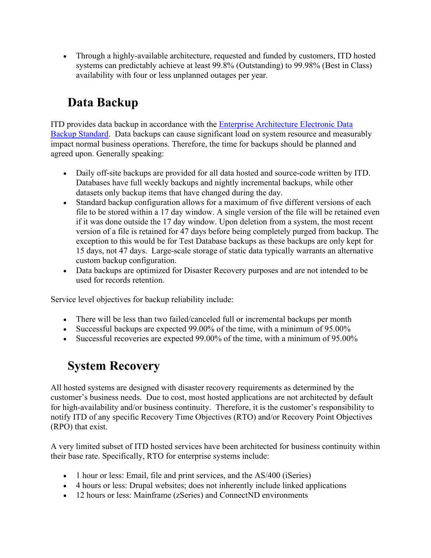• Through a highly-available architecture, requested and funded by customers, ITD hosted systems can predictably achieve at least 99.8% (Outstanding) to 99.98% (Best in Class) availability with four or less unplanned outages per year.

# <span id="page-3-0"></span>**Data Backup**

ITD provides data backup in accordance with the [Enterprise Architecture Electronic Data](https://www.nd.gov/itd/node/265)  [Backup Standard.](https://www.nd.gov/itd/node/265) Data backups can cause significant load on system resource and measurably impact normal business operations. Therefore, the time for backups should be planned and agreed upon. Generally speaking:

- Daily off-site backups are provided for all data hosted and source-code written by ITD. Databases have full weekly backups and nightly incremental backups, while other datasets only backup items that have changed during the day.
- Standard backup configuration allows for a maximum of five different versions of each file to be stored within a 17 day window. A single version of the file will be retained even if it was done outside the 17 day window. Upon deletion from a system, the most recent version of a file is retained for 47 days before being completely purged from backup. The exception to this would be for Test Database backups as these backups are only kept for 15 days, not 47 days. Large-scale storage of static data typically warrants an alternative custom backup configuration.
- Data backups are optimized for Disaster Recovery purposes and are not intended to be used for records retention.

Service level objectives for backup reliability include:

- There will be less than two failed/canceled full or incremental backups per month
- Successful backups are expected 99.00% of the time, with a minimum of 95.00%
- Successful recoveries are expected 99.00% of the time, with a minimum of 95.00%

## <span id="page-3-1"></span>**System Recovery**

All hosted systems are designed with disaster recovery requirements as determined by the customer's business needs. Due to cost, most hosted applications are not architected by default for high-availability and/or business continuity. Therefore, it is the customer's responsibility to notify ITD of any specific Recovery Time Objectives (RTO) and/or Recovery Point Objectives (RPO) that exist.

A very limited subset of ITD hosted services have been architected for business continuity within their base rate. Specifically, RTO for enterprise systems include:

- 1 hour or less: Email, file and print services, and the AS/400 (iSeries)
- 4 hours or less: Drupal websites; does not inherently include linked applications
- 12 hours or less: Mainframe (zSeries) and ConnectND environments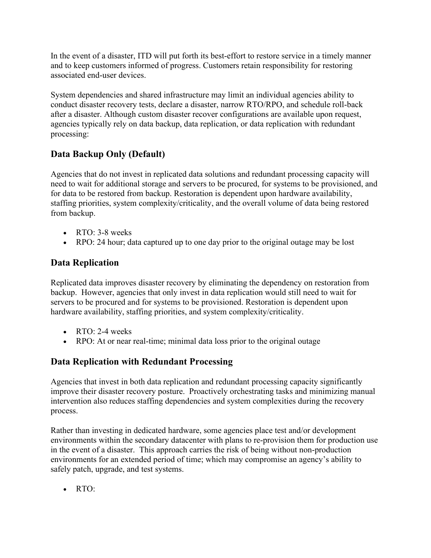In the event of a disaster, ITD will put forth its best-effort to restore service in a timely manner and to keep customers informed of progress. Customers retain responsibility for restoring associated end-user devices.

System dependencies and shared infrastructure may limit an individual agencies ability to conduct disaster recovery tests, declare a disaster, narrow RTO/RPO, and schedule roll-back after a disaster. Although custom disaster recover configurations are available upon request, agencies typically rely on data backup, data replication, or data replication with redundant processing:

### <span id="page-4-0"></span>**Data Backup Only (Default)**

Agencies that do not invest in replicated data solutions and redundant processing capacity will need to wait for additional storage and servers to be procured, for systems to be provisioned, and for data to be restored from backup. Restoration is dependent upon hardware availability, staffing priorities, system complexity/criticality, and the overall volume of data being restored from backup.

- RTO: 3-8 weeks
- RPO: 24 hour; data captured up to one day prior to the original outage may be lost

### <span id="page-4-1"></span>**Data Replication**

Replicated data improves disaster recovery by eliminating the dependency on restoration from backup. However, agencies that only invest in data replication would still need to wait for servers to be procured and for systems to be provisioned. Restoration is dependent upon hardware availability, staffing priorities, and system complexity/criticality.

- RTO:  $2-4$  weeks
- RPO: At or near real-time; minimal data loss prior to the original outage

### <span id="page-4-2"></span>**Data Replication with Redundant Processing**

Agencies that invest in both data replication and redundant processing capacity significantly improve their disaster recovery posture. Proactively orchestrating tasks and minimizing manual intervention also reduces staffing dependencies and system complexities during the recovery process.

Rather than investing in dedicated hardware, some agencies place test and/or development environments within the secondary datacenter with plans to re-provision them for production use in the event of a disaster. This approach carries the risk of being without non-production environments for an extended period of time; which may compromise an agency's ability to safely patch, upgrade, and test systems.

• RTO: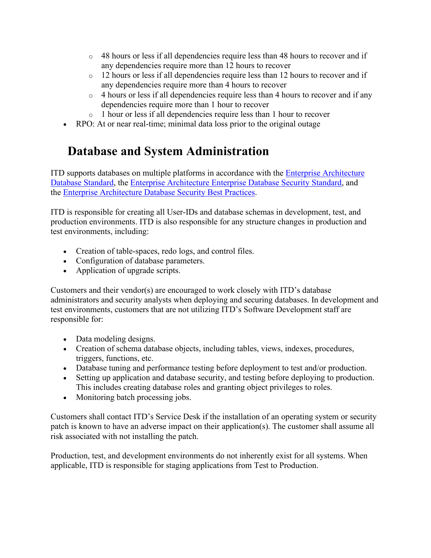- $\circ$  48 hours or less if all dependencies require less than 48 hours to recover and if any dependencies require more than 12 hours to recover
- o 12 hours or less if all dependencies require less than 12 hours to recover and if any dependencies require more than 4 hours to recover
- o 4 hours or less if all dependencies require less than 4 hours to recover and if any dependencies require more than 1 hour to recover
- o 1 hour or less if all dependencies require less than 1 hour to recover
- RPO: At or near real-time; minimal data loss prior to the original outage

# <span id="page-5-0"></span>**Database and System Administration**

ITD supports databases on multiple platforms in accordance with the [Enterprise Architecture](https://www.nd.gov/itd/node/56)  Database [Standard,](https://www.nd.gov/itd/node/56) the [Enterprise Architecture Enterprise Database Security Standard,](https://www.nd.gov/itd/node/279) and the [Enterprise Architecture Database Security Best Practices.](https://www.nd.gov/itd/node/262)

ITD is responsible for creating all User-IDs and database schemas in development, test, and production environments. ITD is also responsible for any structure changes in production and test environments, including:

- Creation of table-spaces, redo logs, and control files.
- Configuration of database parameters.
- Application of upgrade scripts.

Customers and their vendor(s) are encouraged to work closely with ITD's database administrators and security analysts when deploying and securing databases. In development and test environments, customers that are not utilizing ITD's Software Development staff are responsible for:

- Data modeling designs.
- Creation of schema database objects, including tables, views, indexes, procedures, triggers, functions, etc.
- Database tuning and performance testing before deployment to test and/or production.
- Setting up application and database security, and testing before deploying to production. This includes creating database roles and granting object privileges to roles.
- Monitoring batch processing jobs.

Customers shall contact ITD's Service Desk if the installation of an operating system or security patch is known to have an adverse impact on their application(s). The customer shall assume all risk associated with not installing the patch.

Production, test, and development environments do not inherently exist for all systems. When applicable, ITD is responsible for staging applications from Test to Production.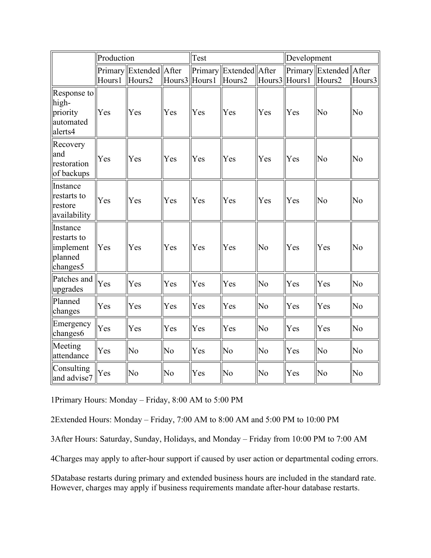|                                                             | Production |                                    |        | Test              |                          |               | Development |                                  |                |
|-------------------------------------------------------------|------------|------------------------------------|--------|-------------------|--------------------------|---------------|-------------|----------------------------------|----------------|
|                                                             | Hours1     | Primary Extended   After<br>Hours2 | Hours3 | Primary<br>Hours1 | Extended After<br>Hours2 | Hours3 Hours1 |             | Primary Extended After<br>Hours2 | Hours3         |
| Response to<br>high-<br>priority<br>automated<br>alerts4    | Yes        | Yes                                | Yes    | Yes               | Yes                      | Yes           | Yes         | No                               | No             |
| Recovery<br>and<br>restoration<br>of backups                | Yes        | Yes                                | Yes    | Yes               | Yes                      | Yes           | Yes         | No                               | No             |
| Instance<br>restarts to<br>restore<br>availability          | Yes        | Yes                                | Yes    | Yes               | Yes                      | Yes           | Yes         | No                               | No             |
| Instance<br>restarts to<br>implement<br>planned<br>changes5 | Yes        | Yes                                | Yes    | Yes               | Yes                      | No            | Yes         | Yes                              | No             |
| Patches and<br>upgrades                                     | Yes        | Yes                                | Yes    | Yes               | Yes                      | No            | Yes         | Yes                              | No             |
| Planned<br>changes                                          | Yes        | Yes                                | Yes    | Yes               | Yes                      | No            | Yes         | Yes                              | No             |
| Emergency<br>changes6                                       | Yes        | Yes                                | Yes    | Yes               | Yes                      | No            | Yes         | Yes                              | No             |
| Meeting<br>attendance                                       | Yes        | N <sub>o</sub>                     | No     | Yes               | No                       | No            | Yes         | N <sub>o</sub>                   | N <sub>o</sub> |
| Consulting<br>and advise7                                   | Yes        | No                                 | No     | Yes               | No                       | No            | Yes         | No                               | No             |

1Primary Hours: Monday – Friday, 8:00 AM to 5:00 PM

2Extended Hours: Monday – Friday, 7:00 AM to 8:00 AM and 5:00 PM to 10:00 PM

3After Hours: Saturday, Sunday, Holidays, and Monday – Friday from 10:00 PM to 7:00 AM

4Charges may apply to after-hour support if caused by user action or departmental coding errors.

5Database restarts during primary and extended business hours are included in the standard rate. However, charges may apply if business requirements mandate after-hour database restarts.